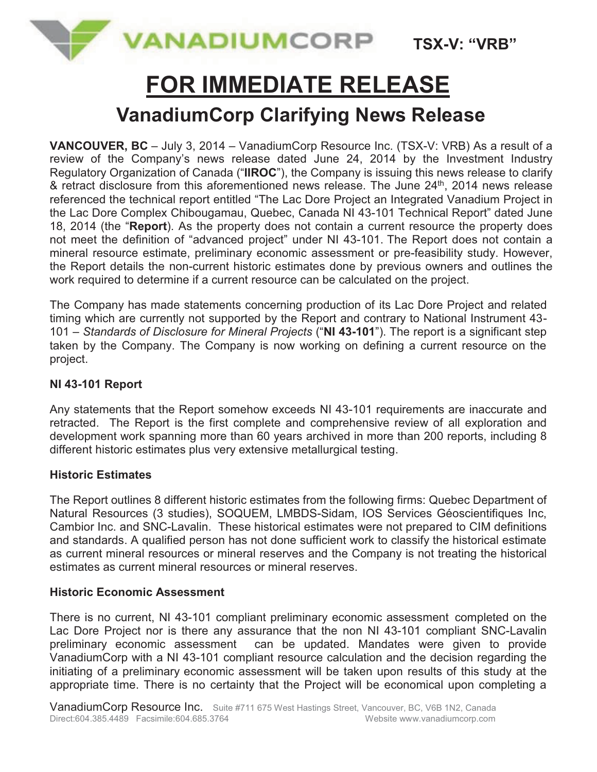

**TSX-V: "VRB"**

# **FOR IMMEDIATE RELEASE**

## **VanadiumCorp Clarifying News Release**

**VANCOUVER, BC** – July 3, 2014 – VanadiumCorp Resource Inc. (TSX-V: VRB) As a result of a review of the Company's news release dated June 24, 2014 by the Investment Industry Regulatory Organization of Canada ("**IIROC**"), the Company is issuing this news release to clarify & retract disclosure from this aforementioned news release. The June 24<sup>th</sup>, 2014 news release referenced the technical report entitled "The Lac Dore Project an Integrated Vanadium Project in the Lac Dore Complex Chibougamau, Quebec, Canada NI 43-101 Technical Report" dated June 18, 2014 (the "**Report**). As the property does not contain a current resource the property does not meet the definition of "advanced project" under NI 43-101. The Report does not contain a mineral resource estimate, preliminary economic assessment or pre-feasibility study. However, the Report details the non-current historic estimates done by previous owners and outlines the work required to determine if a current resource can be calculated on the project.

The Company has made statements concerning production of its Lac Dore Project and related timing which are currently not supported by the Report and contrary to National Instrument 43- 101 – *Standards of Disclosure for Mineral Projects* ("**NI 43-101**"). The report is a significant step taken by the Company. The Company is now working on defining a current resource on the project.

### **NI 43-101 Report**

Any statements that the Report somehow exceeds NI 43-101 requirements are inaccurate and retracted. The Report is the first complete and comprehensive review of all exploration and development work spanning more than 60 years archived in more than 200 reports, including 8 different historic estimates plus very extensive metallurgical testing.

#### **Historic Estimates**

The Report outlines 8 different historic estimates from the following firms: Quebec Department of Natural Resources (3 studies), SOQUEM, LMBDS-Sidam, IOS Services Géoscientifiques Inc, Cambior Inc. and SNC-Lavalin. These historical estimates were not prepared to CIM definitions and standards. A qualified person has not done sufficient work to classify the historical estimate as current mineral resources or mineral reserves and the Company is not treating the historical estimates as current mineral resources or mineral reserves.

### **Historic Economic Assessment**

There is no current, NI 43-101 compliant preliminary economic assessment completed on the Lac Dore Project nor is there any assurance that the non NI 43-101 compliant SNC-Lavalin preliminary economic assessment can be updated. Mandates were given to provide VanadiumCorp with a NI 43-101 compliant resource calculation and the decision regarding the initiating of a preliminary economic assessment will be taken upon results of this study at the appropriate time. There is no certainty that the Project will be economical upon completing a